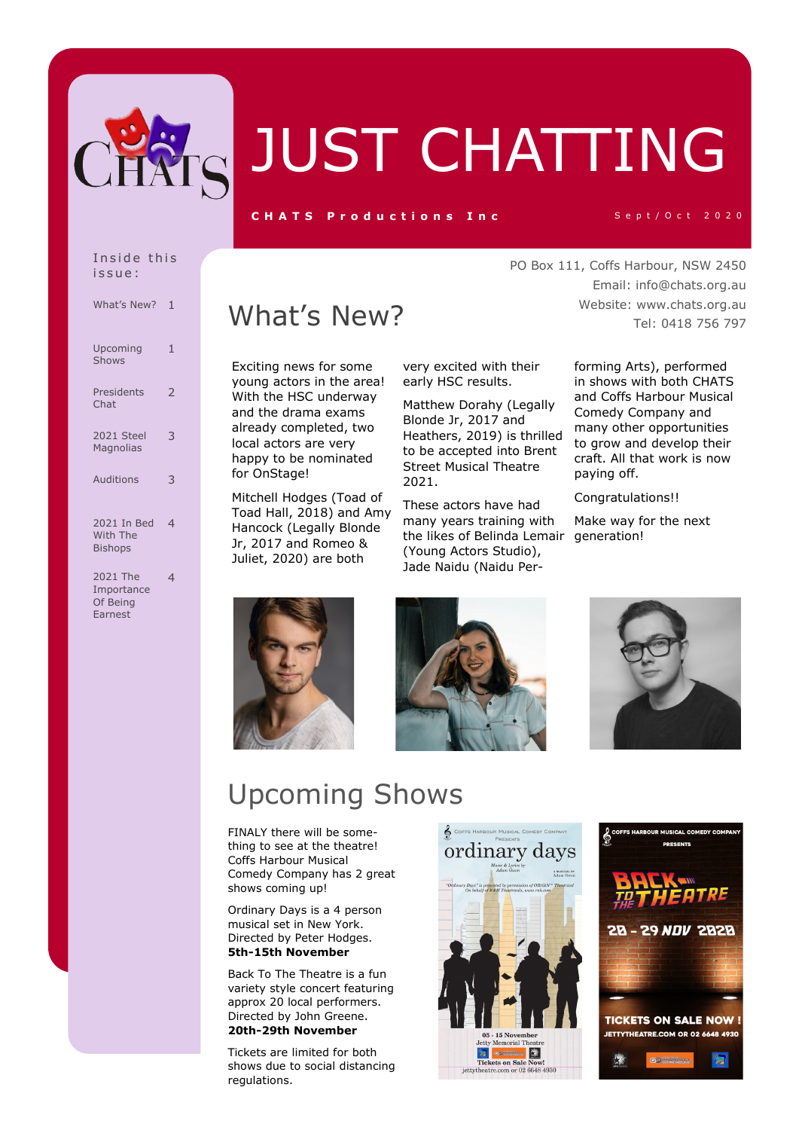

# JUST CHATTING

#### C H A T S P roductions Inc Sept/Oct 2020

#### Inside this i s s u e :

| What's New?                                   | 1                        |
|-----------------------------------------------|--------------------------|
| Upcoming<br>Shows                             | 1                        |
| Presidents<br>Chat                            | $\overline{2}$           |
| 2021 Steel<br>Magnolias                       | 3                        |
| Auditions                                     | 3                        |
| 2021 In Bed<br>With The<br><b>Bishops</b>     | $\overline{\mathcal{A}}$ |
| 2021 The<br>Importance<br>Of Being<br>Farnest | 4                        |

## What's New?

Exciting news for some young actors in the area! With the HSC underway and the drama exams already completed, two local actors are very happy to be nominated for OnStage!

Mitchell Hodges (Toad of Toad Hall, 2018) and Amy Hancock (Legally Blonde Jr, 2017 and Romeo & Juliet, 2020) are both

very excited with their early HSC results.

Matthew Dorahy (Legally Blonde Jr, 2017 and Heathers, 2019) is thrilled to be accepted into Brent Street Musical Theatre 2021.

These actors have had many years training with the likes of Belinda Lemair generation!(Young Actors Studio), Jade Naidu (Naidu Per-

PO Box 111, Coffs Harbour, NSW 2450 Email: info@chats.org.au Website: www.chats.org.au Tel: 0418 756 797

> forming Arts), performed in shows with both CHATS and Coffs Harbour Musical Comedy Company and many other opportunities to grow and develop their craft. All that work is now paying off.

Congratulations!!

Make way for the next







## Upcoming Shows

FINALY there will be something to see at the theatre! Coffs Harbour Musical Comedy Company has 2 great shows coming up!

Ordinary Days is a 4 person musical set in New York. Directed by Peter Hodges. **5th-15th November**

Back To The Theatre is a fun variety style concert featuring approx 20 local performers. Directed by John Greene. **20th-29th November**

Tickets are limited for both shows due to social distancing regulations.



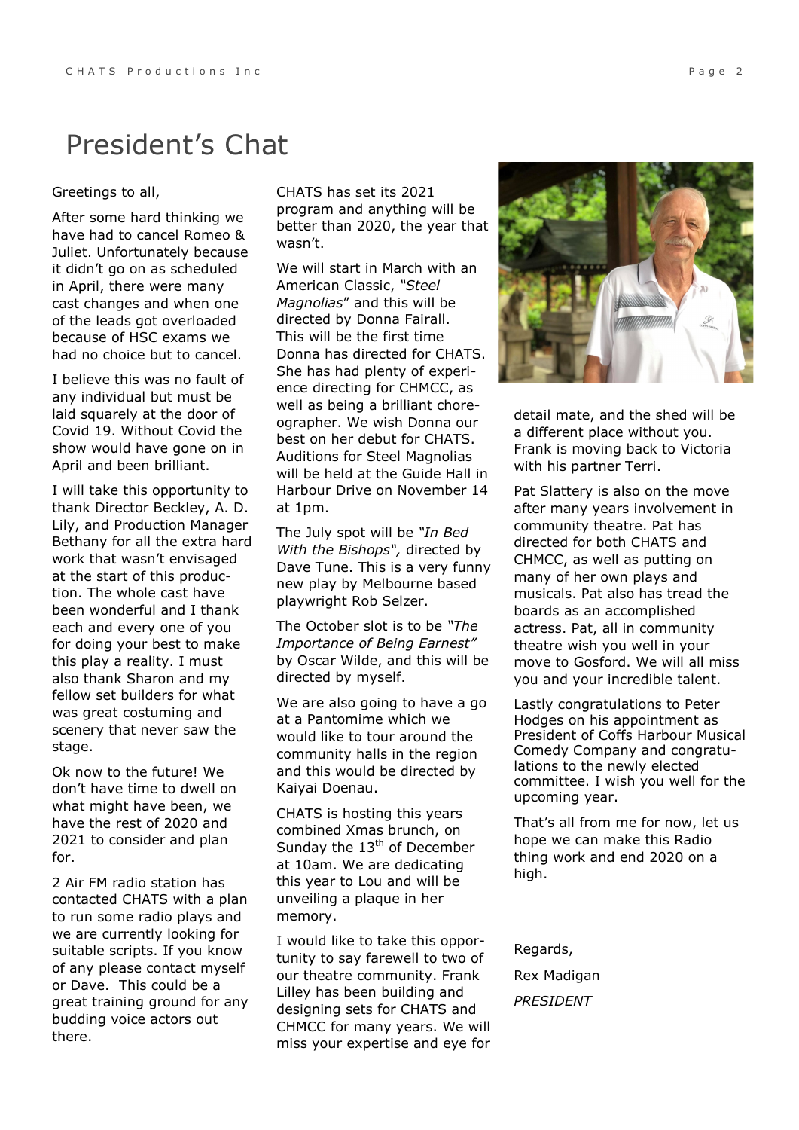## President's Chat

#### Greetings to all,

After some hard thinking we have had to cancel Romeo & Juliet. Unfortunately because it didn't go on as scheduled in April, there were many cast changes and when one of the leads got overloaded because of HSC exams we had no choice but to cancel.

I believe this was no fault of any individual but must be laid squarely at the door of Covid 19. Without Covid the show would have gone on in April and been brilliant.

I will take this opportunity to thank Director Beckley, A. D. Lily, and Production Manager Bethany for all the extra hard work that wasn't envisaged at the start of this production. The whole cast have been wonderful and I thank each and every one of you for doing your best to make this play a reality. I must also thank Sharon and my fellow set builders for what was great costuming and scenery that never saw the stage.

Ok now to the future! We don't have time to dwell on what might have been, we have the rest of 2020 and 2021 to consider and plan for.

2 Air FM radio station has contacted CHATS with a plan to run some radio plays and we are currently looking for suitable scripts. If you know of any please contact myself or Dave. This could be a great training ground for any budding voice actors out there.

CHATS has set its 2021 program and anything will be better than 2020, the year that wasn't.

We will start in March with an American Classic, *"Steel Magnolias*" and this will be directed by Donna Fairall. This will be the first time Donna has directed for CHATS. She has had plenty of experience directing for CHMCC, as well as being a brilliant choreographer. We wish Donna our best on her debut for CHATS. Auditions for Steel Magnolias will be held at the Guide Hall in Harbour Drive on November 14 at 1pm.

The July spot will be *"In Bed With the Bishops",* directed by Dave Tune. This is a very funny new play by Melbourne based playwright Rob Selzer.

The October slot is to be *"The Importance of Being Earnest"*  by Oscar Wilde, and this will be directed by myself.

We are also going to have a go at a Pantomime which we would like to tour around the community halls in the region and this would be directed by Kaiyai Doenau.

CHATS is hosting this years combined Xmas brunch, on Sunday the 13<sup>th</sup> of December at 10am. We are dedicating this year to Lou and will be unveiling a plaque in her memory.

I would like to take this opportunity to say farewell to two of our theatre community. Frank Lilley has been building and designing sets for CHATS and CHMCC for many years. We will miss your expertise and eye for



detail mate, and the shed will be a different place without you. Frank is moving back to Victoria with his partner Terri.

Pat Slattery is also on the move after many years involvement in community theatre. Pat has directed for both CHATS and CHMCC, as well as putting on many of her own plays and musicals. Pat also has tread the boards as an accomplished actress. Pat, all in community theatre wish you well in your move to Gosford. We will all miss you and your incredible talent.

Lastly congratulations to Peter Hodges on his appointment as President of Coffs Harbour Musical Comedy Company and congratulations to the newly elected committee. I wish you well for the upcoming year.

That's all from me for now, let us hope we can make this Radio thing work and end 2020 on a high.

Regards, Rex Madigan *PRESIDENT*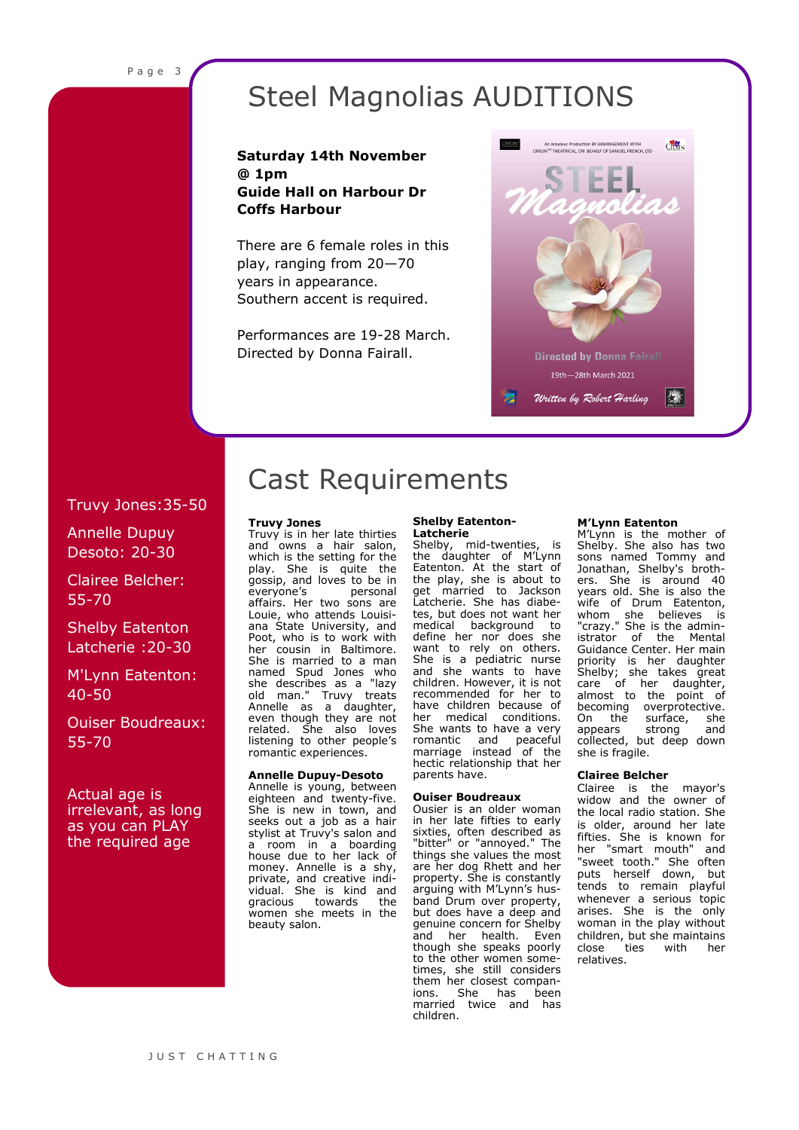## Steel Magnolias AUDITIONS

#### **Saturday 14th November @ 1pm Guide Hall on Harbour Dr Coffs Harbour**

There are 6 female roles in this play, ranging from 20—70 years in appearance. Southern accent is required.

Performances are 19-28 March. Directed by Donna Fairall.



#### Truvy Jones:35-50

Annelle Dupuy Desoto: 20-30

### Clairee Belcher: 55-70

Shelby Eatenton Latcherie :20-30

#### M'Lynn Eatenton: 40-50

Ouiser Boudreaux: 55-70

#### Actual age is irrelevant, as long as you can PLAY the required age

## Cast Requirements

#### **Truvy Jones**

Truvy is in her late thirties and owns a hair salon, which is the setting for the play. She is quite the gossip, and loves to be in<br>everyone's personal everyone's affairs. Her two sons are Louie, who attends Louisiana State University, and Poot, who is to work with her cousin in Baltimore. She is married to a man named Spud Jones who she describes as a "lazy old man." Truvy treats Annelle as a daughter, even though they are not related. She also loves listening to other people's romantic experiences.

#### **Annelle Dupuy-Desoto**

Annelle is young, between eighteen and twenty-five. She is new in town, and seeks out a job as a hair stylist at Truvy's salon and a room in a boarding house due to her lack of money. Annelle is a shy, private, and creative individual. She is kind and gracious towards the women she meets in the beauty salon.

#### **Shelby Eatenton-Latcherie**

Shelby, mid-twenties, is the daughter of M'Lynn Eatenton. At the start of the play, she is about to<br>get married to Jackson married to Jackson Latcherie. She has diabetes, but does not want her medical background to define her nor does she want to rely on others. She is a pediatric nurse and she wants to have children. However, it is not recommended for her to have children because of<br>her medical conditions her medical conditions. She wants to have a very romantic and peaceful marriage instead of the hectic relationship that her parents have.

#### **Ouiser Boudreaux**

Ousier is an older woman in her late fifties to early sixties, often described as "bitter" or "annoyed." The things she values the most are her dog Rhett and her property. She is constantly arguing with M'Lynn's husband Drum over property, but does have a deep and genuine concern for Shelby and her health. Even though she speaks poorly to the other women sometimes, she still considers them her closest companions. She has been married twice and has children.

#### **M'Lynn Eatenton**

M'Lynn is the mother of Shelby. She also has two sons named Tommy and Jonathan, Shelby's brothers. She is around 40 years old. She is also the wife of Drum Eatenton, whom she believes is "crazy." She is the administrator of the Mental Guidance Center. Her main priority is her daughter Shelby; she takes great care of her daughter, almost to the point of becoming overprotective.<br>On the surface, she On the surface, she<br>appears strong and appears collected, but deep down she is fragile.

#### **Clairee Belcher**

Clairee is the mayor's widow and the owner of the local radio station. She is older, around her late fifties. She is known for her "smart mouth" and "sweet tooth." She often puts herself down, but tends to remain playful whenever a serious topic arises. She is the only woman in the play without children, but she maintains close ties with her relatives.